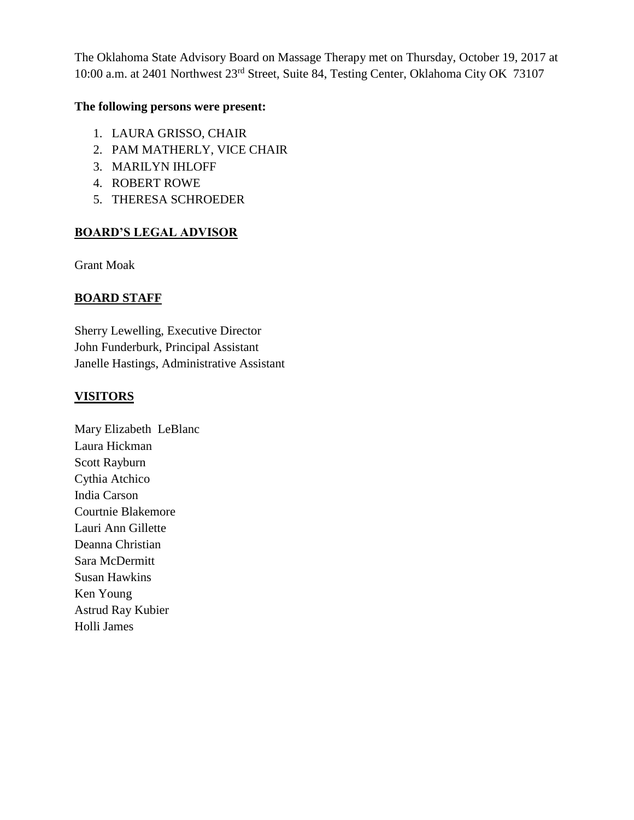The Oklahoma State Advisory Board on Massage Therapy met on Thursday, October 19, 2017 at 10:00 a.m. at 2401 Northwest 23rd Street, Suite 84, Testing Center, Oklahoma City OK 73107

#### **The following persons were present:**

- 1. LAURA GRISSO, CHAIR
- 2. PAM MATHERLY, VICE CHAIR
- 3. MARILYN IHLOFF
- 4. ROBERT ROWE
- 5. THERESA SCHROEDER

## **BOARD'S LEGAL ADVISOR**

Grant Moak

#### **BOARD STAFF**

Sherry Lewelling, Executive Director John Funderburk, Principal Assistant Janelle Hastings, Administrative Assistant

#### **VISITORS**

Mary Elizabeth LeBlanc Laura Hickman Scott Rayburn Cythia Atchico India Carson Courtnie Blakemore Lauri Ann Gillette Deanna Christian Sara McDermitt Susan Hawkins Ken Young Astrud Ray Kubier Holli James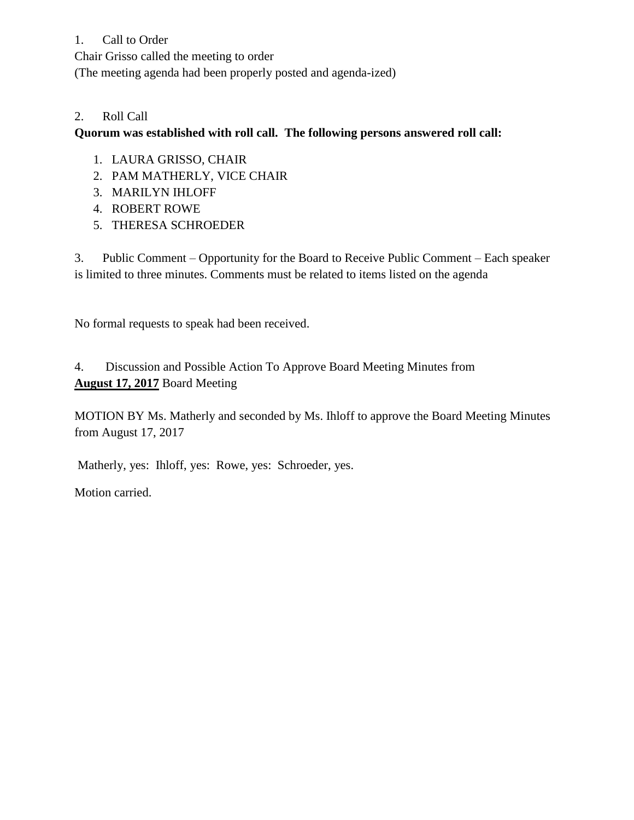### 1. Call to Order

Chair Grisso called the meeting to order

(The meeting agenda had been properly posted and agenda-ized)

### 2. Roll Call

### **Quorum was established with roll call. The following persons answered roll call:**

- 1. LAURA GRISSO, CHAIR
- 2. PAM MATHERLY, VICE CHAIR
- 3. MARILYN IHLOFF
- 4. ROBERT ROWE
- 5. THERESA SCHROEDER

3. Public Comment – Opportunity for the Board to Receive Public Comment – Each speaker is limited to three minutes. Comments must be related to items listed on the agenda

No formal requests to speak had been received.

# 4. Discussion and Possible Action To Approve Board Meeting Minutes from **August 17, 2017** Board Meeting

MOTION BY Ms. Matherly and seconded by Ms. Ihloff to approve the Board Meeting Minutes from August 17, 2017

Matherly, yes: Ihloff, yes: Rowe, yes: Schroeder, yes.

Motion carried.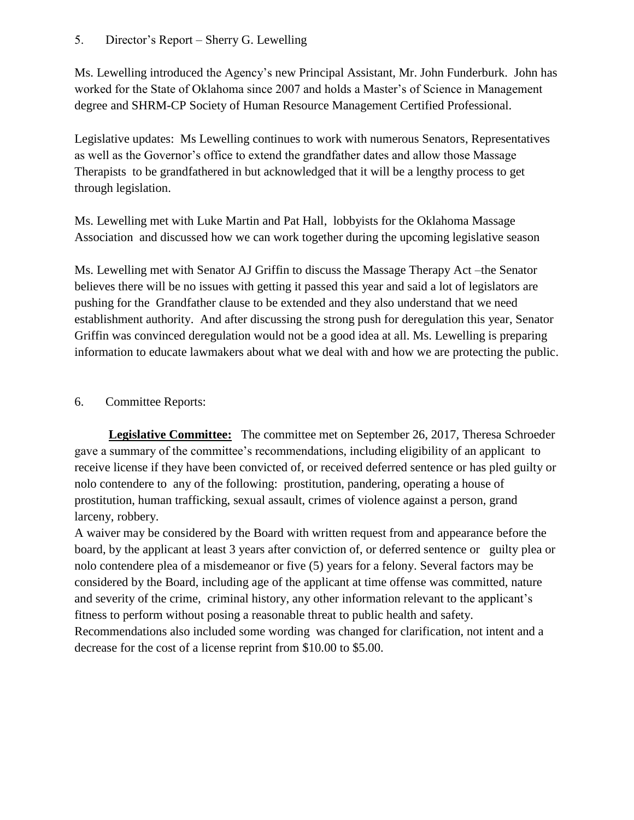5. Director's Report – Sherry G. Lewelling

Ms. Lewelling introduced the Agency's new Principal Assistant, Mr. John Funderburk. John has worked for the State of Oklahoma since 2007 and holds a Master's of Science in Management degree and SHRM-CP Society of Human Resource Management Certified Professional.

Legislative updates: Ms Lewelling continues to work with numerous Senators, Representatives as well as the Governor's office to extend the grandfather dates and allow those Massage Therapists to be grandfathered in but acknowledged that it will be a lengthy process to get through legislation.

Ms. Lewelling met with Luke Martin and Pat Hall, lobbyists for the Oklahoma Massage Association and discussed how we can work together during the upcoming legislative season

Ms. Lewelling met with Senator AJ Griffin to discuss the Massage Therapy Act –the Senator believes there will be no issues with getting it passed this year and said a lot of legislators are pushing for the Grandfather clause to be extended and they also understand that we need establishment authority. And after discussing the strong push for deregulation this year, Senator Griffin was convinced deregulation would not be a good idea at all. Ms. Lewelling is preparing information to educate lawmakers about what we deal with and how we are protecting the public.

# 6. Committee Reports:

 **Legislative Committee:** The committee met on September 26, 2017, Theresa Schroeder gave a summary of the committee's recommendations, including eligibility of an applicant to receive license if they have been convicted of, or received deferred sentence or has pled guilty or nolo contendere to any of the following: prostitution, pandering, operating a house of prostitution, human trafficking, sexual assault, crimes of violence against a person, grand larceny, robbery.

A waiver may be considered by the Board with written request from and appearance before the board, by the applicant at least 3 years after conviction of, or deferred sentence or guilty plea or nolo contendere plea of a misdemeanor or five (5) years for a felony. Several factors may be considered by the Board, including age of the applicant at time offense was committed, nature and severity of the crime, criminal history, any other information relevant to the applicant's fitness to perform without posing a reasonable threat to public health and safety. Recommendations also included some wording was changed for clarification, not intent and a decrease for the cost of a license reprint from \$10.00 to \$5.00.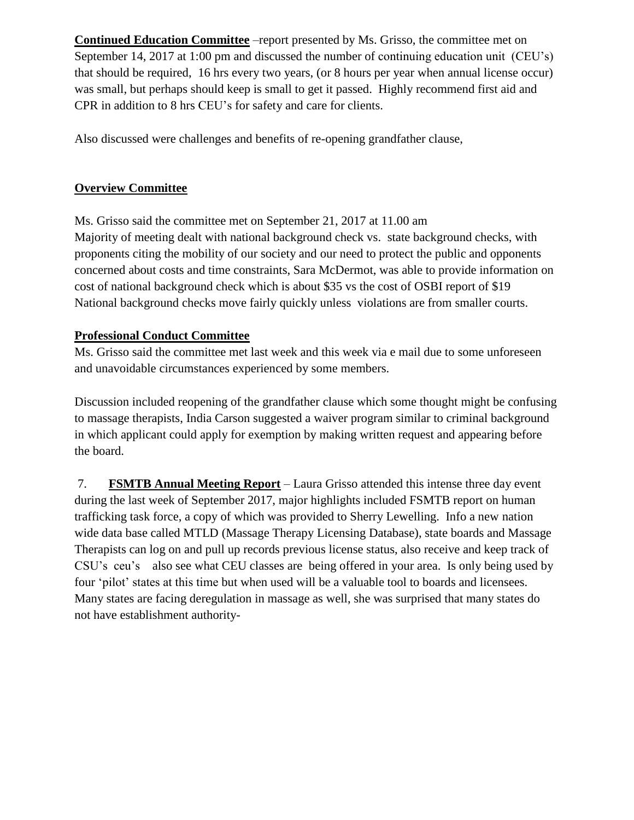**Continued Education Committee** –report presented by Ms. Grisso, the committee met on September 14, 2017 at 1:00 pm and discussed the number of continuing education unit (CEU's) that should be required, 16 hrs every two years, (or 8 hours per year when annual license occur) was small, but perhaps should keep is small to get it passed. Highly recommend first aid and CPR in addition to 8 hrs CEU's for safety and care for clients.

Also discussed were challenges and benefits of re-opening grandfather clause,

# **Overview Committee**

Ms. Grisso said the committee met on September 21, 2017 at 11.00 am Majority of meeting dealt with national background check vs. state background checks, with proponents citing the mobility of our society and our need to protect the public and opponents concerned about costs and time constraints, Sara McDermot, was able to provide information on cost of national background check which is about \$35 vs the cost of OSBI report of \$19 National background checks move fairly quickly unless violations are from smaller courts.

## **Professional Conduct Committee**

Ms. Grisso said the committee met last week and this week via e mail due to some unforeseen and unavoidable circumstances experienced by some members.

Discussion included reopening of the grandfather clause which some thought might be confusing to massage therapists, India Carson suggested a waiver program similar to criminal background in which applicant could apply for exemption by making written request and appearing before the board.

7. **FSMTB Annual Meeting Report** – Laura Grisso attended this intense three day event during the last week of September 2017, major highlights included FSMTB report on human trafficking task force, a copy of which was provided to Sherry Lewelling. Info a new nation wide data base called MTLD (Massage Therapy Licensing Database), state boards and Massage Therapists can log on and pull up records previous license status, also receive and keep track of CSU's ceu's also see what CEU classes are being offered in your area. Is only being used by four 'pilot' states at this time but when used will be a valuable tool to boards and licensees. Many states are facing deregulation in massage as well, she was surprised that many states do not have establishment authority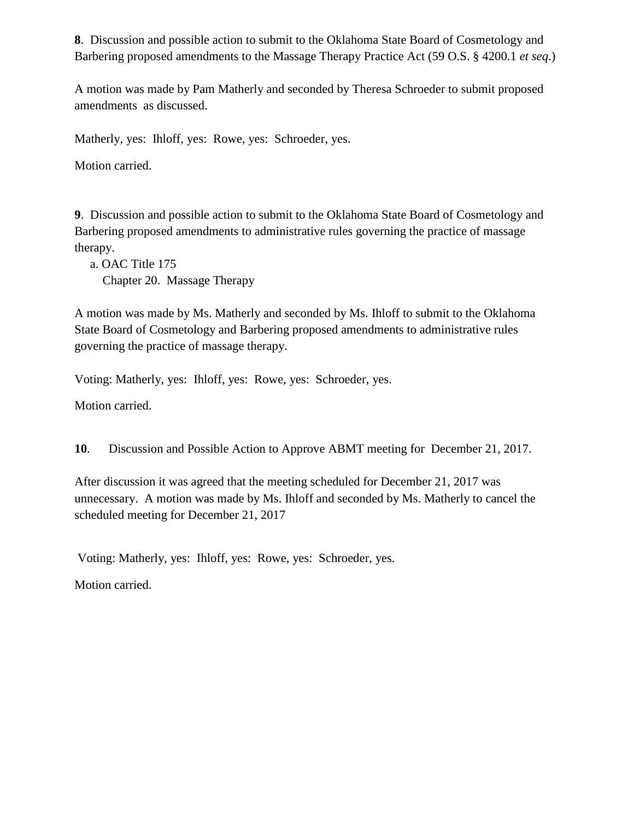**8**. Discussion and possible action to submit to the Oklahoma State Board of Cosmetology and Barbering proposed amendments to the Massage Therapy Practice Act (59 O.S. § 4200.1 *et seq*.)

A motion was made by Pam Matherly and seconded by Theresa Schroeder to submit proposed amendments as discussed.

Matherly, yes: Ihloff, yes: Rowe, yes: Schroeder, yes.

Motion carried.

**9**. Discussion and possible action to submit to the Oklahoma State Board of Cosmetology and Barbering proposed amendments to administrative rules governing the practice of massage therapy.

 a. OAC Title 175 Chapter 20. Massage Therapy

A motion was made by Ms. Matherly and seconded by Ms. Ihloff to submit to the Oklahoma State Board of Cosmetology and Barbering proposed amendments to administrative rules governing the practice of massage therapy.

Voting: Matherly, yes: Ihloff, yes: Rowe, yes: Schroeder, yes.

Motion carried.

**10**. Discussion and Possible Action to Approve ABMT meeting for December 21, 2017.

After discussion it was agreed that the meeting scheduled for December 21, 2017 was unnecessary. A motion was made by Ms. Ihloff and seconded by Ms. Matherly to cancel the scheduled meeting for December 21, 2017

Voting: Matherly, yes: Ihloff, yes: Rowe, yes: Schroeder, yes.

Motion carried.